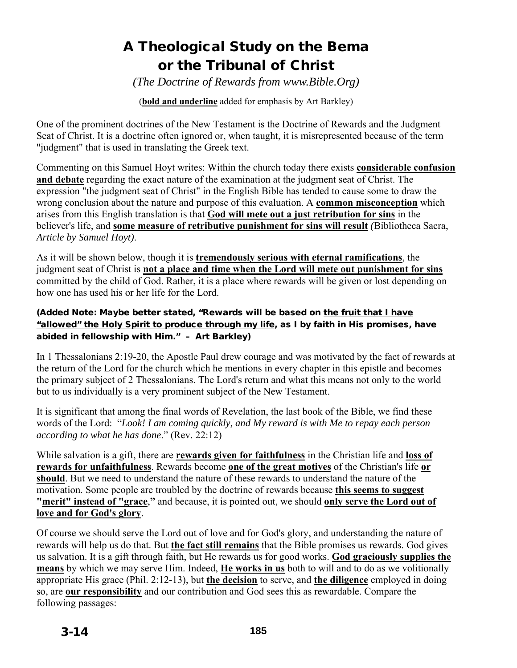# A Theological Study on the Bema or the Tribunal of Christ

*(The Doctrine of Rewards from www.Bible.Org)*

(**bold and underline** added for emphasis by Art Barkley)

One of the prominent doctrines of the New Testament is the Doctrine of Rewards and the Judgment Seat of Christ. It is a doctrine often ignored or, when taught, it is misrepresented because of the term "judgment" that is used in translating the Greek text.

Commenting on this Samuel Hoyt writes: Within the church today there exists **considerable confusion and debate** regarding the exact nature of the examination at the judgment seat of Christ. The expression "the judgment seat of Christ" in the English Bible has tended to cause some to draw the wrong conclusion about the nature and purpose of this evaluation. A **common misconception** which arises from this English translation is that **God will mete out a just retribution for sins** in the believer's life, and **some measure of retributive punishment for sins will result** *(*Bibliotheca Sacra, *Article by Samuel Hoyt)*.

As it will be shown below, though it is **tremendously serious with eternal ramifications**, the judgment seat of Christ is **not a place and time when the Lord will mete out punishment for sins** committed by the child of God. Rather, it is a place where rewards will be given or lost depending on how one has used his or her life for the Lord.

#### (Added Note: Maybe better stated, "Rewards will be based on the fruit that I have "allowed" the Holy Spirit to produce through my life, as I by faith in His promises, have abided in fellowship with Him." – Art Barkley)

In 1 Thessalonians 2:19-20, the Apostle Paul drew courage and was motivated by the fact of rewards at the return of the Lord for the church which he mentions in every chapter in this epistle and becomes the primary subject of 2 Thessalonians. The Lord's return and what this means not only to the world but to us individually is a very prominent subject of the New Testament.

It is significant that among the final words of Revelation, the last book of the Bible, we find these words of the Lord: "*Look! I am coming quickly, and My reward is with Me to repay each person according to what he has done*." (Rev. 22:12)

While salvation is a gift, there are **rewards given for faithfulness** in the Christian life and **loss of rewards for unfaithfulness**. Rewards become **one of the great motives** of the Christian's life **or should**. But we need to understand the nature of these rewards to understand the nature of the motivation. Some people are troubled by the doctrine of rewards because **this seems to suggest "merit" instead of "grace**,**"** and because, it is pointed out, we should **only serve the Lord out of love and for God's glory**.

Of course we should serve the Lord out of love and for God's glory, and understanding the nature of rewards will help us do that. But **the fact still remains** that the Bible promises us rewards. God gives us salvation. It is a gift through faith, but He rewards us for good works. **God graciously supplies the means** by which we may serve Him. Indeed, **He works in us** both to will and to do as we volitionally appropriate His grace (Phil. 2:12-13), but **the decision** to serve, and **the diligence** employed in doing so, are **our responsibility** and our contribution and God sees this as rewardable. Compare the following passages: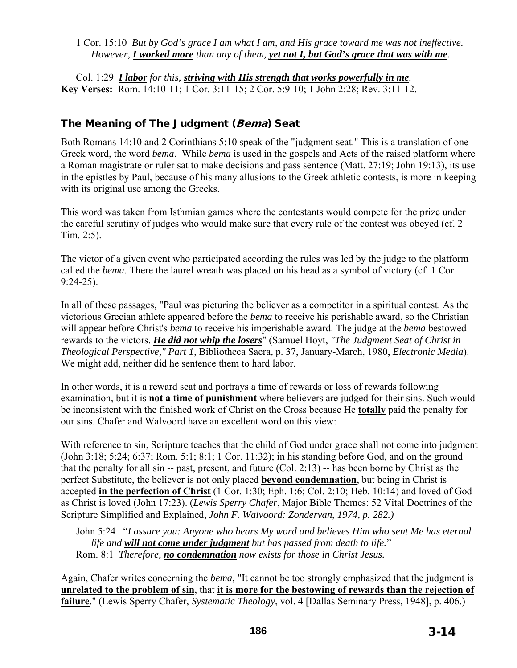1 Cor. 15:10 *But by God's grace I am what I am, and His grace toward me was not ineffective. However, I worked more than any of them, yet not I, but God's grace that was with me.* 

Col. 1:29 *I labor for this, striving with His strength that works powerfully in me.* **Key Verses:** Rom. 14:10-11; 1 Cor. 3:11-15; 2 Cor. 5:9-10; 1 John 2:28; Rev. 3:11-12.

## The Meaning of The Judgment (Bema) Seat

Both Romans 14:10 and 2 Corinthians 5:10 speak of the "judgment seat." This is a translation of one Greek word, the word *bema*. While *bema* is used in the gospels and Acts of the raised platform where a Roman magistrate or ruler sat to make decisions and pass sentence (Matt. 27:19; John 19:13), its use in the epistles by Paul, because of his many allusions to the Greek athletic contests, is more in keeping with its original use among the Greeks.

This word was taken from Isthmian games where the contestants would compete for the prize under the careful scrutiny of judges who would make sure that every rule of the contest was obeyed (cf. 2 Tim. 2:5).

The victor of a given event who participated according the rules was led by the judge to the platform called the *bema*. There the laurel wreath was placed on his head as a symbol of victory (cf. 1 Cor. 9:24-25).

In all of these passages, "Paul was picturing the believer as a competitor in a spiritual contest. As the victorious Grecian athlete appeared before the *bema* to receive his perishable award, so the Christian will appear before Christ's *bema* to receive his imperishable award. The judge at the *bema* bestowed rewards to the victors. *He did not whip the losers*" (Samuel Hoyt, *"The Judgment Seat of Christ in Theological Perspective," Part 1,* Bibliotheca Sacra*,* p. 37, January-March, 1980, *Electronic Media*). We might add, neither did he sentence them to hard labor.

In other words, it is a reward seat and portrays a time of rewards or loss of rewards following examination, but it is **not a time of punishment** where believers are judged for their sins. Such would be inconsistent with the finished work of Christ on the Cross because He **totally** paid the penalty for our sins. Chafer and Walvoord have an excellent word on this view:

With reference to sin, Scripture teaches that the child of God under grace shall not come into judgment (John 3:18; 5:24; 6:37; Rom. 5:1; 8:1; 1 Cor. 11:32); in his standing before God, and on the ground that the penalty for all sin -- past, present, and future (Col. 2:13) -- has been borne by Christ as the perfect Substitute, the believer is not only placed **beyond condemnation**, but being in Christ is accepted **in the perfection of Christ** (1 Cor. 1:30; Eph. 1:6; Col. 2:10; Heb. 10:14) and loved of God as Christ is loved (John 17:23). (*Lewis Sperry Chafer*, Major Bible Themes: 52 Vital Doctrines of the Scripture Simplified and Explained, *John F. Walvoord: Zondervan*, *1974, p. 282.)* 

John 5:24 "*I assure you: Anyone who hears My word and believes Him who sent Me has eternal life and will not come under judgment but has passed from death to life.*" Rom. 8:1 *Therefore, no condemnation now exists for those in Christ Jesus.* 

Again, Chafer writes concerning the *bema*, "It cannot be too strongly emphasized that the judgment is **unrelated to the problem of sin**, that **it is more for the bestowing of rewards than the rejection of failure**." (Lewis Sperry Chafer, *Systematic Theology*, vol. 4 [Dallas Seminary Press, 1948], p. 406.)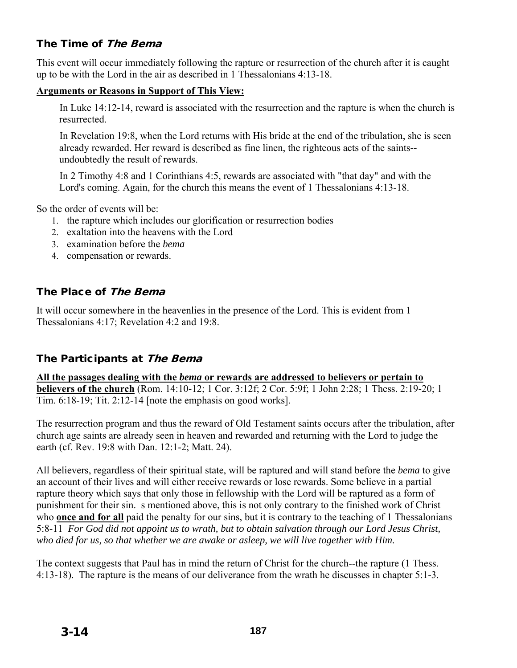# The Time of The Bema

This event will occur immediately following the rapture or resurrection of the church after it is caught up to be with the Lord in the air as described in 1 Thessalonians 4:13-18.

### **Arguments or Reasons in Support of This View:**

In Luke 14:12-14, reward is associated with the resurrection and the rapture is when the church is resurrected.

In Revelation 19:8, when the Lord returns with His bride at the end of the tribulation, she is seen already rewarded. Her reward is described as fine linen, the righteous acts of the saints- undoubtedly the result of rewards.

In 2 Timothy 4:8 and 1 Corinthians 4:5, rewards are associated with "that day" and with the Lord's coming. Again, for the church this means the event of 1 Thessalonians 4:13-18.

So the order of events will be:

- 1. the rapture which includes our glorification or resurrection bodies
- 2. exaltation into the heavens with the Lord
- 3. examination before the *bema*
- 4. compensation or rewards.

# The Place of The Bema

It will occur somewhere in the heavenlies in the presence of the Lord. This is evident from 1 Thessalonians 4:17; Revelation 4:2 and 19:8.

# The Participants at The Bema

**All the passages dealing with the** *bema* **or rewards are addressed to believers or pertain to believers of the church** (Rom. 14:10-12; 1 Cor. 3:12f; 2 Cor. 5:9f; 1 John 2:28; 1 Thess. 2:19-20; 1 Tim. 6:18-19; Tit. 2:12-14 [note the emphasis on good works].

The resurrection program and thus the reward of Old Testament saints occurs after the tribulation, after church age saints are already seen in heaven and rewarded and returning with the Lord to judge the earth (cf. Rev. 19:8 with Dan. 12:1-2; Matt. 24).

All believers, regardless of their spiritual state, will be raptured and will stand before the *bema* to give an account of their lives and will either receive rewards or lose rewards. Some believe in a partial rapture theory which says that only those in fellowship with the Lord will be raptured as a form of punishment for their sin. s mentioned above, this is not only contrary to the finished work of Christ who **once and for all** paid the penalty for our sins, but it is contrary to the teaching of 1 Thessalonians 5:8-11 *For God did not appoint us to wrath, but to obtain salvation through our Lord Jesus Christ, who died for us, so that whether we are awake or asleep, we will live together with Him.*

The context suggests that Paul has in mind the return of Christ for the church--the rapture (1 Thess. 4:13-18). The rapture is the means of our deliverance from the wrath he discusses in chapter 5:1-3.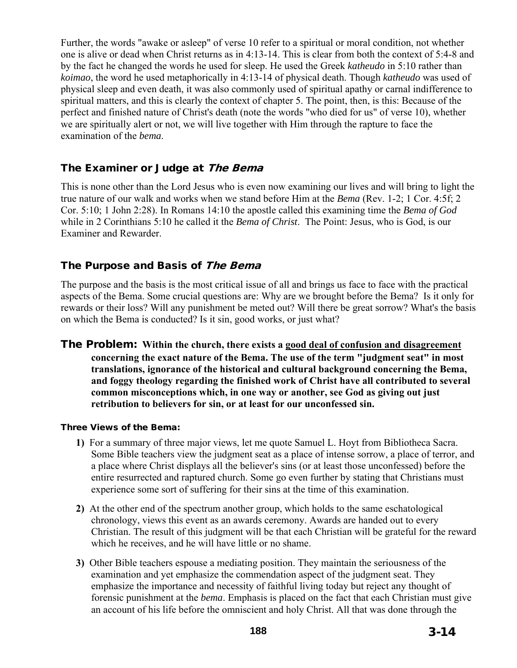Further, the words "awake or asleep" of verse 10 refer to a spiritual or moral condition, not whether one is alive or dead when Christ returns as in 4:13-14. This is clear from both the context of 5:4-8 and by the fact he changed the words he used for sleep. He used the Greek *katheudo* in 5:10 rather than *koimao*, the word he used metaphorically in 4:13-14 of physical death. Though *katheudo* was used of physical sleep and even death, it was also commonly used of spiritual apathy or carnal indifference to spiritual matters, and this is clearly the context of chapter 5. The point, then, is this: Because of the perfect and finished nature of Christ's death (note the words "who died for us" of verse 10), whether we are spiritually alert or not, we will live together with Him through the rapture to face the examination of the *bema*.

## The Examiner or Judge at The Bema

This is none other than the Lord Jesus who is even now examining our lives and will bring to light the true nature of our walk and works when we stand before Him at the *Bema* (Rev. 1-2; 1 Cor. 4:5f; 2 Cor. 5:10; 1 John 2:28). In Romans 14:10 the apostle called this examining time the *Bema of God* while in 2 Corinthians 5:10 he called it the *Bema of Christ*. The Point: Jesus, who is God, is our Examiner and Rewarder.

## The Purpose and Basis of The Bema

The purpose and the basis is the most critical issue of all and brings us face to face with the practical aspects of the Bema. Some crucial questions are: Why are we brought before the Bema? Is it only for rewards or their loss? Will any punishment be meted out? Will there be great sorrow? What's the basis on which the Bema is conducted? Is it sin, good works, or just what?

The Problem: **Within the church, there exists a good deal of confusion and disagreement concerning the exact nature of the Bema. The use of the term "judgment seat" in most translations, ignorance of the historical and cultural background concerning the Bema, and foggy theology regarding the finished work of Christ have all contributed to several common misconceptions which, in one way or another, see God as giving out just retribution to believers for sin, or at least for our unconfessed sin.** 

#### Three Views of the Bema:

- **1)** For a summary of three major views, let me quote Samuel L. Hoyt from Bibliotheca Sacra. Some Bible teachers view the judgment seat as a place of intense sorrow, a place of terror, and a place where Christ displays all the believer's sins (or at least those unconfessed) before the entire resurrected and raptured church. Some go even further by stating that Christians must experience some sort of suffering for their sins at the time of this examination.
- **2)** At the other end of the spectrum another group, which holds to the same eschatological chronology, views this event as an awards ceremony. Awards are handed out to every Christian. The result of this judgment will be that each Christian will be grateful for the reward which he receives, and he will have little or no shame.
- **3)** Other Bible teachers espouse a mediating position. They maintain the seriousness of the examination and yet emphasize the commendation aspect of the judgment seat. They emphasize the importance and necessity of faithful living today but reject any thought of forensic punishment at the *bema*. Emphasis is placed on the fact that each Christian must give an account of his life before the omniscient and holy Christ. All that was done through the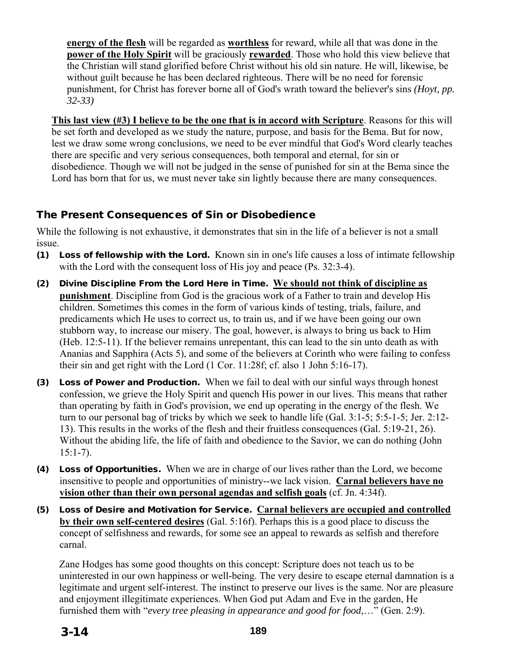**energy of the flesh** will be regarded as **worthless** for reward, while all that was done in the **power of the Holy Spirit** will be graciously **rewarded**. Those who hold this view believe that the Christian will stand glorified before Christ without his old sin nature. He will, likewise, be without guilt because he has been declared righteous. There will be no need for forensic punishment, for Christ has forever borne all of God's wrath toward the believer's sins *(Hoyt, pp. 32-33)* 

**This last view (#3) I believe to be the one that is in accord with Scripture**. Reasons for this will be set forth and developed as we study the nature, purpose, and basis for the Bema. But for now, lest we draw some wrong conclusions, we need to be ever mindful that God's Word clearly teaches there are specific and very serious consequences, both temporal and eternal, for sin or disobedience. Though we will not be judged in the sense of punished for sin at the Bema since the Lord has born that for us, we must never take sin lightly because there are many consequences.

# The Present Consequences of Sin or Disobedience

While the following is not exhaustive, it demonstrates that sin in the life of a believer is not a small issue.

- (1) Loss of fellowship with the Lord. Known sin in one's life causes a loss of intimate fellowship with the Lord with the consequent loss of His joy and peace (Ps. 32:3-4).
- (2) Divine Discipline From the Lord Here in Time. **We should not think of discipline as punishment**. Discipline from God is the gracious work of a Father to train and develop His children. Sometimes this comes in the form of various kinds of testing, trials, failure, and predicaments which He uses to correct us, to train us, and if we have been going our own stubborn way, to increase our misery. The goal, however, is always to bring us back to Him (Heb. 12:5-11). If the believer remains unrepentant, this can lead to the sin unto death as with Ananias and Sapphira (Acts 5), and some of the believers at Corinth who were failing to confess their sin and get right with the Lord (1 Cor. 11:28f; cf. also 1 John 5:16-17).
- (3) Loss of Power and Production. When we fail to deal with our sinful ways through honest confession, we grieve the Holy Spirit and quench His power in our lives. This means that rather than operating by faith in God's provision, we end up operating in the energy of the flesh. We turn to our personal bag of tricks by which we seek to handle life (Gal. 3:1-5; 5:5-1-5; Jer. 2:12- 13). This results in the works of the flesh and their fruitless consequences (Gal. 5:19-21, 26). Without the abiding life, the life of faith and obedience to the Savior, we can do nothing (John 15:1-7).
- (4) Loss of Opportunities. When we are in charge of our lives rather than the Lord, we become insensitive to people and opportunities of ministry--we lack vision. **Carnal believers have no vision other than their own personal agendas and selfish goals** (cf. Jn. 4:34f).
- (5) Loss of Desire and Motivation for Service. **Carnal believers are occupied and controlled by their own self-centered desires** (Gal. 5:16f). Perhaps this is a good place to discuss the concept of selfishness and rewards, for some see an appeal to rewards as selfish and therefore carnal.

Zane Hodges has some good thoughts on this concept: Scripture does not teach us to be uninterested in our own happiness or well-being. The very desire to escape eternal damnation is a legitimate and urgent self-interest. The instinct to preserve our lives is the same. Nor are pleasure and enjoyment illegitimate experiences. When God put Adam and Eve in the garden, He furnished them with "*every tree pleasing in appearance and good for food*,…" (Gen. 2:9).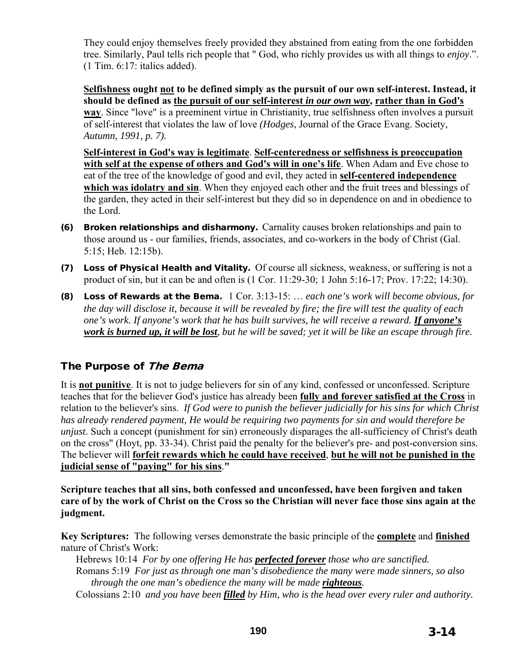They could enjoy themselves freely provided they abstained from eating from the one forbidden tree. Similarly, Paul tells rich people that " God, who richly provides us with all things to *enjoy*.". (1 Tim. 6:17: italics added).

**Selfishness ought not to be defined simply as the pursuit of our own self-interest. Instead, it should be defined as the pursuit of our self-interest** *in our own way***, rather than in God's way**. Since "love" is a preeminent virtue in Christianity, true selfishness often involves a pursuit of self-interest that violates the law of love *(Hodges*, Journal of the Grace Evang. Society, *Autumn*, *1991, p. 7).*

**Self-interest in God's way is legitimate**. **Self-centeredness or selfishness is preoccupation with self at the expense of others and God's will in one's life**. When Adam and Eve chose to eat of the tree of the knowledge of good and evil, they acted in **self-centered independence**  which was idolatry and sin. When they enjoyed each other and the fruit trees and blessings of the garden, they acted in their self-interest but they did so in dependence on and in obedience to the Lord.

- (6) Broken relationships and disharmony. Carnality causes broken relationships and pain to those around us - our families, friends, associates, and co-workers in the body of Christ (Gal. 5:15; Heb. 12:15b).
- (7) Loss of Physical Health and Vitality. Of course all sickness, weakness, or suffering is not a product of sin, but it can be and often is (1 Cor. 11:29-30; 1 John 5:16-17; Prov. 17:22; 14:30).
- (8) Loss of Rewards at the Bema. 1 Cor. 3:13-15: … *each one's work will become obvious, for the day will disclose it, because it will be revealed by fire; the fire will test the quality of each one's work. If anyone's work that he has built survives, he will receive a reward. If anyone's work is burned up, it will be lost, but he will be saved; yet it will be like an escape through fire.*

## The Purpose of The Bema

It is **not punitive**. It is not to judge believers for sin of any kind, confessed or unconfessed. Scripture teaches that for the believer God's justice has already been **fully and forever satisfied at the Cross** in relation to the believer's sins. *If God were to punish the believer judicially for his sins for which Christ has already rendered payment, He would be requiring two payments for sin and would therefore be unjust*. Such a concept (punishment for sin) erroneously disparages the all-sufficiency of Christ's death on the cross" (Hoyt, pp. 33-34). Christ paid the penalty for the believer's pre- and post-conversion sins. The believer will **forfeit rewards which he could have received**, **but he will not be punished in the judicial sense of "paying" for his sins**.**"**

**Scripture teaches that all sins, both confessed and unconfessed, have been forgiven and taken care of by the work of Christ on the Cross so the Christian will never face those sins again at the judgment.** 

**Key Scriptures:** The following verses demonstrate the basic principle of the **complete** and **finished** nature of Christ's Work:

Hebrews 10:14 *For by one offering He has perfected forever those who are sanctified.* Romans 5:19 *For just as through one man's disobedience the many were made sinners, so also through the one man's obedience the many will be made righteous.*

Colossians 2:10 *and you have been filled by Him, who is the head over every ruler and authority.*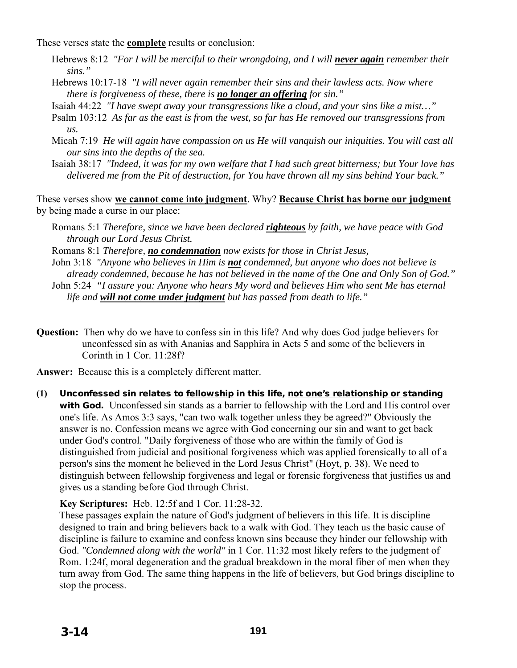These verses state the **complete** results or conclusion:

- Hebrews 8:12 "For I will be merciful to their wrongdoing, and I will *never again* remember their *sins."*
- Hebrews 10:17-18 *"I will never again remember their sins and their lawless acts. Now where there is forgiveness of these, there is no longer an offering for sin."*
- Isaiah 44:22 *"I have swept away your transgressions like a cloud, and your sins like a mist…"*
- Psalm 103:12 *As far as the east is from the west, so far has He removed our transgressions from us.*
- Micah 7:19 *He will again have compassion on us He will vanquish our iniquities. You will cast all our sins into the depths of the sea.*
- Isaiah 38:17 *"Indeed, it was for my own welfare that I had such great bitterness; but Your love has delivered me from the Pit of destruction, for You have thrown all my sins behind Your back."*

These verses show **we cannot come into judgment**. Why? **Because Christ has borne our judgment** by being made a curse in our place:

- Romans 5:1 *Therefore, since we have been declared righteous by faith, we have peace with God through our Lord Jesus Christ.*
- Romans 8:1 *Therefore, no condemnation now exists for those in Christ Jesus,*
- John 3:18 *"Anyone who believes in Him is not condemned, but anyone who does not believe is already condemned, because he has not believed in the name of the One and Only Son of God."*
- John 5:24 *"I assure you: Anyone who hears My word and believes Him who sent Me has eternal life and will not come under judgment but has passed from death to life."*
- **Question:** Then why do we have to confess sin in this life? And why does God judge believers for unconfessed sin as with Ananias and Sapphira in Acts 5 and some of the believers in Corinth in 1 Cor. 11:28f?

**Answer:** Because this is a completely different matter.

**(1)** Unconfessed sin relates to fellowship in this life, not one's relationship or standing with God. Unconfessed sin stands as a barrier to fellowship with the Lord and His control over one's life. As Amos 3:3 says, "can two walk together unless they be agreed?" Obviously the answer is no. Confession means we agree with God concerning our sin and want to get back under God's control. "Daily forgiveness of those who are within the family of God is distinguished from judicial and positional forgiveness which was applied forensically to all of a person's sins the moment he believed in the Lord Jesus Christ" (Hoyt, p. 38). We need to distinguish between fellowship forgiveness and legal or forensic forgiveness that justifies us and gives us a standing before God through Christ.

#### **Key Scriptures:** Heb. 12:5f and 1 Cor. 11:28-32.

These passages explain the nature of God's judgment of believers in this life. It is discipline designed to train and bring believers back to a walk with God. They teach us the basic cause of discipline is failure to examine and confess known sins because they hinder our fellowship with God. *"Condemned along with the world"* in 1 Cor. 11:32 most likely refers to the judgment of Rom. 1:24f, moral degeneration and the gradual breakdown in the moral fiber of men when they turn away from God. The same thing happens in the life of believers, but God brings discipline to stop the process.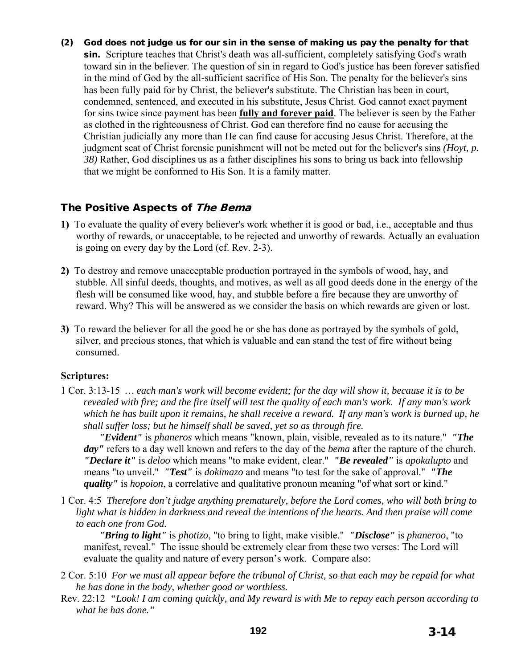(2) God does not judge us for our sin in the sense of making us pay the penalty for that sin. Scripture teaches that Christ's death was all-sufficient, completely satisfying God's wrath toward sin in the believer. The question of sin in regard to God's justice has been forever satisfied in the mind of God by the all-sufficient sacrifice of His Son. The penalty for the believer's sins has been fully paid for by Christ, the believer's substitute. The Christian has been in court, condemned, sentenced, and executed in his substitute, Jesus Christ. God cannot exact payment for sins twice since payment has been **fully and forever paid**. The believer is seen by the Father as clothed in the righteousness of Christ. God can therefore find no cause for accusing the Christian judicially any more than He can find cause for accusing Jesus Christ. Therefore, at the judgment seat of Christ forensic punishment will not be meted out for the believer's sins *(Hoyt, p. 38)* Rather, God disciplines us as a father disciplines his sons to bring us back into fellowship that we might be conformed to His Son. It is a family matter.

## The Positive Aspects of The Bema

- **1)** To evaluate the quality of every believer's work whether it is good or bad, i.e., acceptable and thus worthy of rewards, or unacceptable, to be rejected and unworthy of rewards. Actually an evaluation is going on every day by the Lord (cf. Rev. 2-3).
- **2)** To destroy and remove unacceptable production portrayed in the symbols of wood, hay, and stubble. All sinful deeds, thoughts, and motives, as well as all good deeds done in the energy of the flesh will be consumed like wood, hay, and stubble before a fire because they are unworthy of reward. Why? This will be answered as we consider the basis on which rewards are given or lost.
- **3)** To reward the believer for all the good he or she has done as portrayed by the symbols of gold, silver, and precious stones, that which is valuable and can stand the test of fire without being consumed.

#### **Scriptures:**

1 Cor. 3:13-15 *… each man's work will become evident; for the day will show it, because it is to be revealed with fire; and the fire itself will test the quality of each man's work. If any man's work which he has built upon it remains, he shall receive a reward. If any man's work is burned up, he shall suffer loss; but he himself shall be saved, yet so as through fire.* 

*"Evident"* is *phaneros* which means "known, plain, visible, revealed as to its nature." *"The day"* refers to a day well known and refers to the day of the *bema* after the rapture of the church. *"Declare it"* is *deloo* which means "to make evident, clear." *"Be revealed"* is *apokalupto* and means "to unveil." *"Test"* is *dokimazo* and means "to test for the sake of approval." *"The quality"* is *hopoion*, a correlative and qualitative pronoun meaning "of what sort or kind."

1 Cor. 4:5 *Therefore don't judge anything prematurely, before the Lord comes, who will both bring to*  light what is hidden in darkness and reveal the intentions of the hearts. And then praise will come *to each one from God.*

*"Bring to light"* is *photizo*, "to bring to light, make visible." *"Disclose"* is *phaneroo*, "to manifest, reveal." The issue should be extremely clear from these two verses: The Lord will evaluate the quality and nature of every person's work. Compare also:

- 2 Cor. 5:10 *For we must all appear before the tribunal of Christ, so that each may be repaid for what he has done in the body, whether good or worthless.*
- Rev. 22:12 *"Look! I am coming quickly, and My reward is with Me to repay each person according to what he has done."*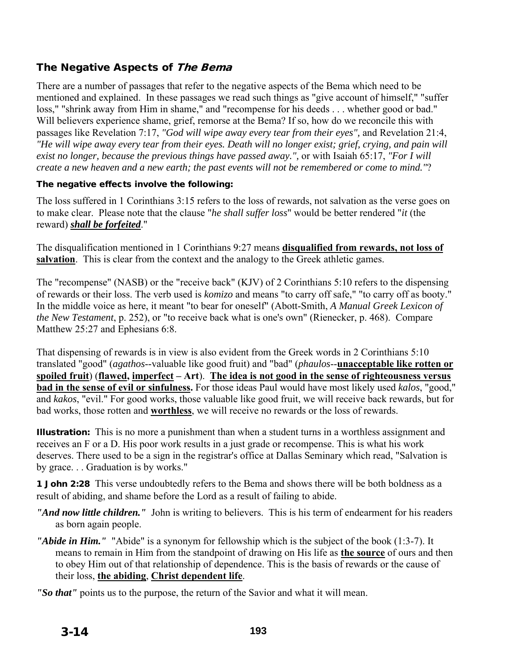# The Negative Aspects of The Bema

There are a number of passages that refer to the negative aspects of the Bema which need to be mentioned and explained. In these passages we read such things as "give account of himself," "suffer loss," "shrink away from Him in shame," and "recompense for his deeds . . . whether good or bad." Will believers experience shame, grief, remorse at the Bema? If so, how do we reconcile this with passages like Revelation 7:17, *"God will wipe away every tear from their eyes",* and Revelation 21:4, *"He will wipe away every tear from their eyes. Death will no longer exist; grief, crying, and pain will exist no longer, because the previous things have passed away.",* or with Isaiah 65:17, *"For I will create a new heaven and a new earth; the past events will not be remembered or come to mind."*?

#### The negative effects involve the following:

The loss suffered in 1 Corinthians 3:15 refers to the loss of rewards, not salvation as the verse goes on to make clear. Please note that the clause "*he shall suffer loss*" would be better rendered "*it* (the reward) *shall be forfeited*."

The disqualification mentioned in 1 Corinthians 9:27 means **disqualified from rewards, not loss of salvation**. This is clear from the context and the analogy to the Greek athletic games.

The "recompense" (NASB) or the "receive back" (KJV) of 2 Corinthians 5:10 refers to the dispensing of rewards or their loss. The verb used is *komizo* and means "to carry off safe," "to carry off as booty." In the middle voice as here, it meant "to bear for oneself" (Abott-Smith, *A Manual Greek Lexicon of the New Testament*, p. 252), or "to receive back what is one's own" (Rienecker, p. 468). Compare Matthew 25:27 and Ephesians 6:8.

That dispensing of rewards is in view is also evident from the Greek words in 2 Corinthians 5:10 translated "good" (*agathos*--valuable like good fruit) and "bad" (*phaulos*--**unacceptable like rotten or spoiled fruit**) (**flawed, imperfect – Art**). **The idea is not good in the sense of righteousness versus bad in the sense of evil or sinfulness.** For those ideas Paul would have most likely used *kalos*, "good," and *kakos*, "evil." For good works, those valuable like good fruit, we will receive back rewards, but for bad works, those rotten and **worthless**, we will receive no rewards or the loss of rewards.

Illustration:This is no more a punishment than when a student turns in a worthless assignment and receives an F or a D. His poor work results in a just grade or recompense. This is what his work deserves. There used to be a sign in the registrar's office at Dallas Seminary which read, "Salvation is by grace. . . Graduation is by works."

**1 John 2:28** This verse undoubtedly refers to the Bema and shows there will be both boldness as a result of abiding, and shame before the Lord as a result of failing to abide.

- *"And now little children."* John is writing to believers. This is his term of endearment for his readers as born again people.
- *"Abide in Him."* "Abide" is a synonym for fellowship which is the subject of the book (1:3-7). It means to remain in Him from the standpoint of drawing on His life as **the source** of ours and then to obey Him out of that relationship of dependence. This is the basis of rewards or the cause of their loss, **the abiding**, **Christ dependent life**.

*"So that"* points us to the purpose, the return of the Savior and what it will mean.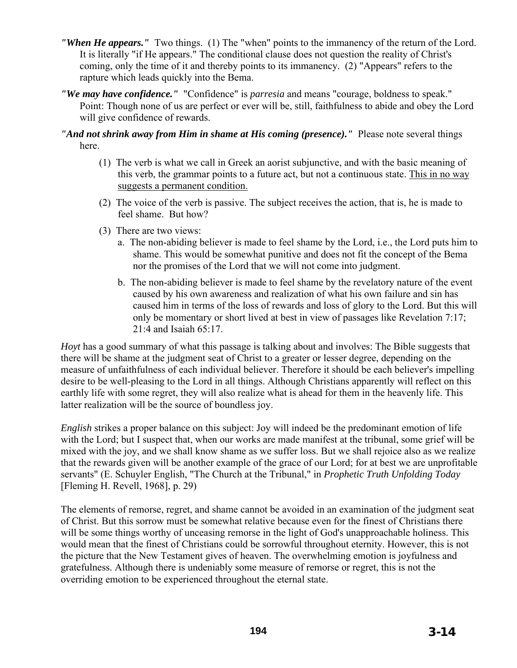- *"When He appears."* Two things. (1) The "when" points to the immanency of the return of the Lord. It is literally "if He appears." The conditional clause does not question the reality of Christ's coming, only the time of it and thereby points to its immanency. (2) "Appears" refers to the rapture which leads quickly into the Bema.
- *"We may have confidence."* "Confidence" is *parresia* and means "courage, boldness to speak." Point: Though none of us are perfect or ever will be, still, faithfulness to abide and obey the Lord will give confidence of rewards.

*"And not shrink away from Him in shame at His coming (presence)."* Please note several things here.

- (1) The verb is what we call in Greek an aorist subjunctive, and with the basic meaning of this verb, the grammar points to a future act, but not a continuous state. This in no way suggests a permanent condition.
- (2) The voice of the verb is passive. The subject receives the action, that is, he is made to feel shame. But how?
- (3) There are two views:
	- a. The non-abiding believer is made to feel shame by the Lord, i.e., the Lord puts him to shame. This would be somewhat punitive and does not fit the concept of the Bema nor the promises of the Lord that we will not come into judgment.
	- b. The non-abiding believer is made to feel shame by the revelatory nature of the event caused by his own awareness and realization of what his own failure and sin has caused him in terms of the loss of rewards and loss of glory to the Lord. But this will only be momentary or short lived at best in view of passages like Revelation 7:17; 21:4 and Isaiah 65:17.

*Hoyt* has a good summary of what this passage is talking about and involves: The Bible suggests that there will be shame at the judgment seat of Christ to a greater or lesser degree, depending on the measure of unfaithfulness of each individual believer. Therefore it should be each believer's impelling desire to be well-pleasing to the Lord in all things. Although Christians apparently will reflect on this earthly life with some regret, they will also realize what is ahead for them in the heavenly life. This latter realization will be the source of boundless joy.

*English* strikes a proper balance on this subject: Joy will indeed be the predominant emotion of life with the Lord; but I suspect that, when our works are made manifest at the tribunal, some grief will be mixed with the joy, and we shall know shame as we suffer loss. But we shall rejoice also as we realize that the rewards given will be another example of the grace of our Lord; for at best we are unprofitable servants" (E. Schuyler English, "The Church at the Tribunal," in *Prophetic Truth Unfolding Today*  [Fleming H. Revell, 1968], p. 29)

The elements of remorse, regret, and shame cannot be avoided in an examination of the judgment seat of Christ. But this sorrow must be somewhat relative because even for the finest of Christians there will be some things worthy of unceasing remorse in the light of God's unapproachable holiness. This would mean that the finest of Christians could be sorrowful throughout eternity. However, this is not the picture that the New Testament gives of heaven. The overwhelming emotion is joyfulness and gratefulness. Although there is undeniably some measure of remorse or regret, this is not the overriding emotion to be experienced throughout the eternal state.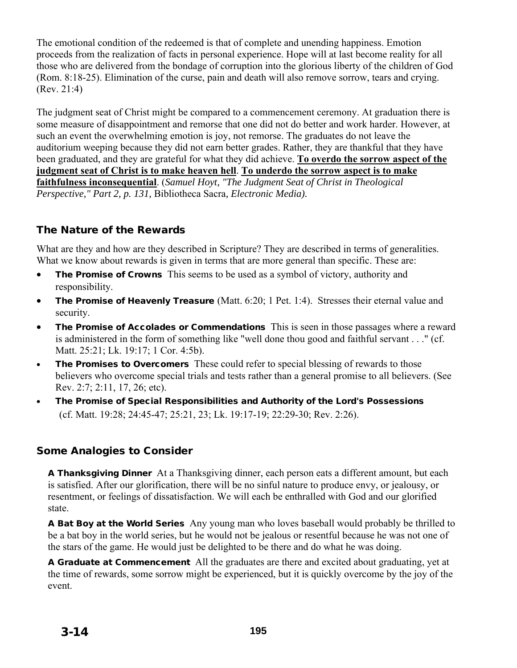The emotional condition of the redeemed is that of complete and unending happiness. Emotion proceeds from the realization of facts in personal experience. Hope will at last become reality for all those who are delivered from the bondage of corruption into the glorious liberty of the children of God (Rom. 8:18-25). Elimination of the curse, pain and death will also remove sorrow, tears and crying. (Rev. 21:4)

The judgment seat of Christ might be compared to a commencement ceremony. At graduation there is some measure of disappointment and remorse that one did not do better and work harder. However, at such an event the overwhelming emotion is joy, not remorse. The graduates do not leave the auditorium weeping because they did not earn better grades. Rather, they are thankful that they have been graduated, and they are grateful for what they did achieve. **To overdo the sorrow aspect of the judgment seat of Christ is to make heaven hell**. **To underdo the sorrow aspect is to make faithfulness inconsequential**. (*Samuel Hoyt, "The Judgment Seat of Christ in Theological Perspective," Part 2, p. 131,* Bibliotheca Sacra*, Electronic Media).* 

## The Nature of the Rewards

What are they and how are they described in Scripture? They are described in terms of generalities. What we know about rewards is given in terms that are more general than specific. These are:

- The Promise of Crowns This seems to be used as a symbol of victory, authority and responsibility.
- The Promise of Heavenly Treasure (Matt. 6:20; 1 Pet. 1:4). Stresses their eternal value and security.
- The Promise of Accolades or CommendationsThis is seen in those passages where a reward is administered in the form of something like "well done thou good and faithful servant . . ." (cf. Matt. 25:21; Lk. 19:17; 1 Cor. 4:5b).
- The Promises to Overcomers These could refer to special blessing of rewards to those believers who overcome special trials and tests rather than a general promise to all believers. (See Rev. 2:7; 2:11, 17, 26; etc).
- The Promise of Special Responsibilities and Authority of the Lord's Possessions (cf. Matt. 19:28; 24:45-47; 25:21, 23; Lk. 19:17-19; 22:29-30; Rev. 2:26).

## Some Analogies to Consider

A Thanksgiving Dinner At a Thanksgiving dinner, each person eats a different amount, but each is satisfied. After our glorification, there will be no sinful nature to produce envy, or jealousy, or resentment, or feelings of dissatisfaction. We will each be enthralled with God and our glorified state.

A Bat Boy at the World Series Any young man who loves baseball would probably be thrilled to be a bat boy in the world series, but he would not be jealous or resentful because he was not one of the stars of the game. He would just be delighted to be there and do what he was doing.

A Graduate at Commencement All the graduates are there and excited about graduating, yet at the time of rewards, some sorrow might be experienced, but it is quickly overcome by the joy of the event.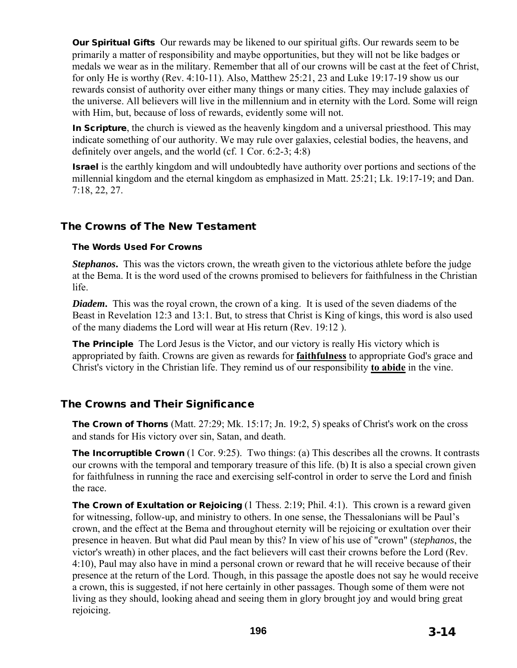Our Spiritual Gifts Our rewards may be likened to our spiritual gifts. Our rewards seem to be primarily a matter of responsibility and maybe opportunities, but they will not be like badges or medals we wear as in the military. Remember that all of our crowns will be cast at the feet of Christ, for only He is worthy (Rev. 4:10-11). Also, Matthew 25:21, 23 and Luke 19:17-19 show us our rewards consist of authority over either many things or many cities. They may include galaxies of the universe. All believers will live in the millennium and in eternity with the Lord. Some will reign with Him, but, because of loss of rewards, evidently some will not.

In Scripture, the church is viewed as the heavenly kingdom and a universal priesthood. This may indicate something of our authority. We may rule over galaxies, celestial bodies, the heavens, and definitely over angels, and the world (cf. 1 Cor. 6:2-3; 4:8)

Israel is the earthly kingdom and will undoubtedly have authority over portions and sections of the millennial kingdom and the eternal kingdom as emphasized in Matt. 25:21; Lk. 19:17-19; and Dan. 7:18, 22, 27.

## The Crowns of The New Testament

#### The Words Used For Crowns

*Stephanos***.** This was the victors crown, the wreath given to the victorious athlete before the judge at the Bema. It is the word used of the crowns promised to believers for faithfulness in the Christian life.

*Diadem*. This was the royal crown, the crown of a king. It is used of the seven diadems of the Beast in Revelation 12:3 and 13:1. But, to stress that Christ is King of kings, this word is also used of the many diadems the Lord will wear at His return (Rev. 19:12 ).

The Principle The Lord Jesus is the Victor, and our victory is really His victory which is appropriated by faith. Crowns are given as rewards for **faithfulness** to appropriate God's grace and Christ's victory in the Christian life. They remind us of our responsibility **to abide** in the vine.

# The Crowns and Their Significance

The Crown of Thorns (Matt. 27:29; Mk. 15:17; Jn. 19:2, 5) speaks of Christ's work on the cross and stands for His victory over sin, Satan, and death.

The Incorruptible Crown (1 Cor. 9:25). Two things: (a) This describes all the crowns. It contrasts our crowns with the temporal and temporary treasure of this life. (b) It is also a special crown given for faithfulness in running the race and exercising self-control in order to serve the Lord and finish the race.

The Crown of Exultation or Rejoicing (1 Thess. 2:19; Phil. 4:1). This crown is a reward given for witnessing, follow-up, and ministry to others. In one sense, the Thessalonians will be Paul's crown, and the effect at the Bema and throughout eternity will be rejoicing or exultation over their presence in heaven. But what did Paul mean by this? In view of his use of "crown" (*stephanos*, the victor's wreath) in other places, and the fact believers will cast their crowns before the Lord (Rev. 4:10), Paul may also have in mind a personal crown or reward that he will receive because of their presence at the return of the Lord. Though, in this passage the apostle does not say he would receive a crown, this is suggested, if not here certainly in other passages. Though some of them were not living as they should, looking ahead and seeing them in glory brought joy and would bring great rejoicing.